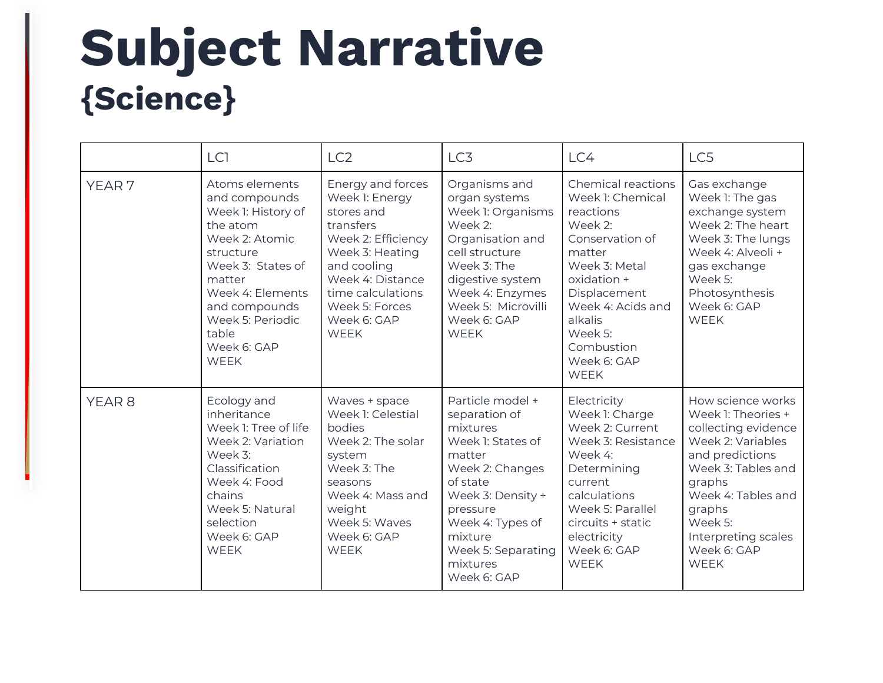## **Subject Narrative {Science}**

|                   | LC <sub>1</sub>                                                                                                                                                                                                                 | LC <sub>2</sub>                                                                                                                                                                                                 | LC3                                                                                                                                                                                                                          | LC4                                                                                                                                                                                                                                | LC5                                                                                                                                                                                                                                    |
|-------------------|---------------------------------------------------------------------------------------------------------------------------------------------------------------------------------------------------------------------------------|-----------------------------------------------------------------------------------------------------------------------------------------------------------------------------------------------------------------|------------------------------------------------------------------------------------------------------------------------------------------------------------------------------------------------------------------------------|------------------------------------------------------------------------------------------------------------------------------------------------------------------------------------------------------------------------------------|----------------------------------------------------------------------------------------------------------------------------------------------------------------------------------------------------------------------------------------|
| YEAR <sub>7</sub> | Atoms elements<br>and compounds<br>Week 1: History of<br>the atom<br>Week 2: Atomic<br>structure<br>Week 3: States of<br>matter<br>Week 4: Elements<br>and compounds<br>Week 5: Periodic<br>table<br>Week 6: GAP<br><b>WFFK</b> | Energy and forces<br>Week 1: Energy<br>stores and<br>transfers<br>Week 2: Efficiency<br>Week 3: Heating<br>and cooling<br>Week 4: Distance<br>time calculations<br>Week 5: Forces<br>Week 6: GAP<br><b>WEEK</b> | Organisms and<br>organ systems<br>Week 1: Organisms<br>Week 2:<br>Organisation and<br>cell structure<br>Week 3: The<br>digestive system<br>Week 4: Enzymes<br>Week 5: Microvilli<br>Week 6: GAP<br><b>WEEK</b>               | Chemical reactions<br>Week 1: Chemical<br>reactions<br>Week 2:<br>Conservation of<br>matter<br>Week 3: Metal<br>oxidation +<br>Displacement<br>Week 4: Acids and<br>alkalis<br>Week 5:<br>Combustion<br>Week 6: GAP<br><b>WEEK</b> | Gas exchange<br>Week 1: The gas<br>exchange system<br>Week 2: The heart<br>Week 3: The lungs<br>Week 4: Alveoli +<br>gas exchange<br>Week 5:<br>Photosynthesis<br>Week 6: GAP<br><b>WEEK</b>                                           |
| YEAR <sub>8</sub> | Ecology and<br>inheritance<br>Week 1: Tree of life<br>Week 2: Variation<br>Week 3:<br>Classification<br>Week 4: Food<br>chains<br>Week 5: Natural<br>selection<br>Week 6: GAP<br><b>WEEK</b>                                    | Waves + space<br>Week 1: Celestial<br>bodies<br>Week 2: The solar<br>system<br>Week 3: The<br>seasons<br>Week 4: Mass and<br>weight<br>Week 5: Waves<br>Week 6: GAP<br><b>WEEK</b>                              | Particle model +<br>separation of<br>mixtures<br>Week 1: States of<br>matter<br>Week 2: Changes<br>of state<br>Week 3: Density +<br>pressure<br>Week 4: Types of<br>mixture<br>Week 5: Separating<br>mixtures<br>Week 6: GAP | Electricity<br>Week 1: Charge<br>Week 2: Current<br>Week 3: Resistance<br>Week 4:<br>Determining<br>current<br>calculations<br>Week 5: Parallel<br>circuits + static<br>electricity<br>Week 6: GAP<br><b>WFFK</b>                  | How science works<br>Week 1: Theories +<br>collecting evidence<br>Week 2: Variables<br>and predictions<br>Week 3: Tables and<br>graphs<br>Week 4: Tables and<br>graphs<br>Week 5:<br>Interpreting scales<br>Week 6: GAP<br><b>WEEK</b> |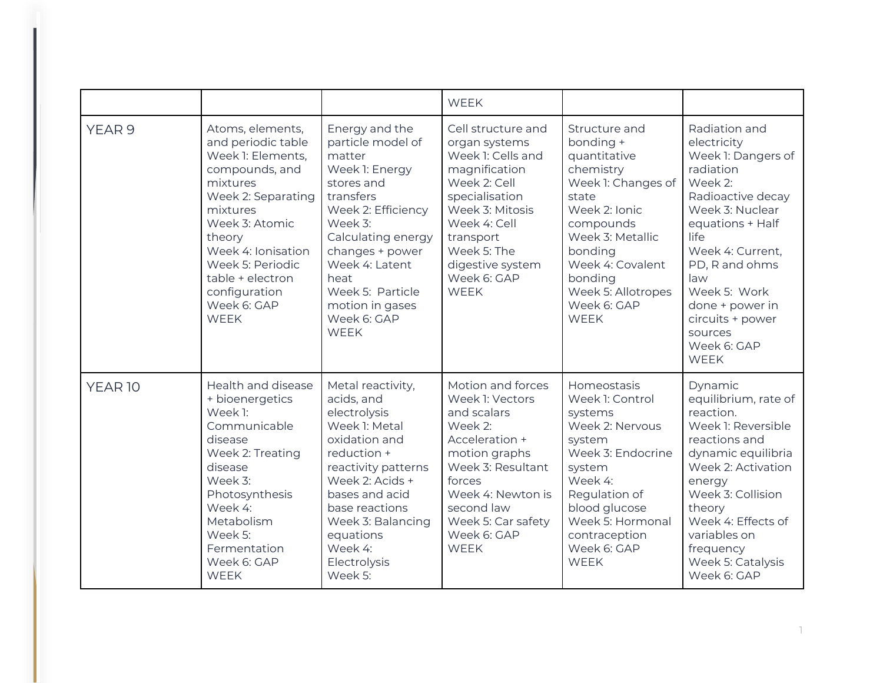|                    |                                                                                                                                                                                                                                                                      |                                                                                                                                                                                                                                                                     | <b>WEEK</b>                                                                                                                                                                                                                  |                                                                                                                                                                                                                                        |                                                                                                                                                                                                                                                                                             |
|--------------------|----------------------------------------------------------------------------------------------------------------------------------------------------------------------------------------------------------------------------------------------------------------------|---------------------------------------------------------------------------------------------------------------------------------------------------------------------------------------------------------------------------------------------------------------------|------------------------------------------------------------------------------------------------------------------------------------------------------------------------------------------------------------------------------|----------------------------------------------------------------------------------------------------------------------------------------------------------------------------------------------------------------------------------------|---------------------------------------------------------------------------------------------------------------------------------------------------------------------------------------------------------------------------------------------------------------------------------------------|
| YEAR <sub>9</sub>  | Atoms, elements,<br>and periodic table<br>Week 1: Elements,<br>compounds, and<br>mixtures<br>Week 2: Separating<br>mixtures<br>Week 3: Atomic<br>theory<br>Week 4: Ionisation<br>Week 5: Periodic<br>table + electron<br>configuration<br>Week 6: GAP<br><b>WEEK</b> | Energy and the<br>particle model of<br>matter<br>Week 1: Energy<br>stores and<br>transfers<br>Week 2: Efficiency<br>Week 3:<br>Calculating energy<br>changes + power<br>Week 4: Latent<br>heat<br>Week 5: Particle<br>motion in gases<br>Week 6: GAP<br><b>WEEK</b> | Cell structure and<br>organ systems<br>Week 1: Cells and<br>magnification<br>Week 2: Cell<br>specialisation<br>Week 3: Mitosis<br>Week 4: Cell<br>transport<br>Week 5: The<br>digestive system<br>Week 6: GAP<br><b>WEEK</b> | Structure and<br>bonding +<br>quantitative<br>chemistry<br>Week 1: Changes of<br>state<br>Week 2: Ionic<br>compounds<br>Week 3: Metallic<br>bonding<br>Week 4: Covalent<br>bonding<br>Week 5: Allotropes<br>Week 6: GAP<br><b>WEEK</b> | Radiation and<br>electricity<br>Week 1: Dangers of<br>radiation<br>Week 2:<br>Radioactive decay<br>Week 3: Nuclear<br>equations + Half<br>life<br>Week 4: Current,<br>PD, R and ohms<br>law<br>Week 5: Work<br>done + power in<br>circuits + power<br>sources<br>Week 6: GAP<br><b>WEEK</b> |
| YEAR <sub>10</sub> | Health and disease<br>+ bioenergetics<br>Week 1:<br>Communicable<br>disease<br>Week 2: Treating<br>disease<br>Week 3:<br>Photosynthesis<br>Week 4:<br>Metabolism<br>Week 5:<br>Fermentation<br>Week 6: GAP<br><b>WEEK</b>                                            | Metal reactivity,<br>acids, and<br>electrolysis<br>Week 1: Metal<br>oxidation and<br>reduction +<br>reactivity patterns<br>Week 2: Acids +<br>bases and acid<br>base reactions<br>Week 3: Balancing<br>equations<br>Week 4:<br>Electrolysis<br>Week 5:              | Motion and forces<br>Week 1: Vectors<br>and scalars<br>Week 2:<br>Acceleration +<br>motion graphs<br>Week 3: Resultant<br>forces<br>Week 4: Newton is<br>second law<br>Week 5: Car safety<br>Week 6: GAP<br><b>WEEK</b>      | Homeostasis<br>Week 1: Control<br>systems<br>Week 2: Nervous<br>system<br>Week 3: Endocrine<br>system<br>Week 4:<br>Regulation of<br>blood glucose<br>Week 5: Hormonal<br>contraception<br>Week 6: GAP<br><b>WEEK</b>                  | Dynamic<br>equilibrium, rate of<br>reaction.<br>Week 1: Reversible<br>reactions and<br>dynamic equilibria<br>Week 2: Activation<br>energy<br>Week 3: Collision<br>theory<br>Week 4: Effects of<br>variables on<br>frequency<br>Week 5: Catalysis<br>Week 6: GAP                             |